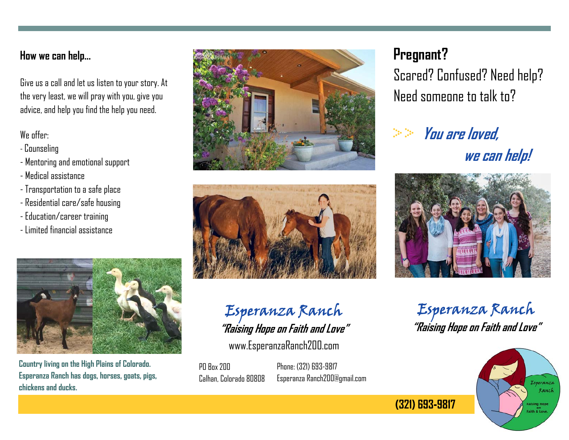### **How we can help...**

Give us a call and let us listen to your story. At the very least, we will pray with you, give you advice, and help you find the help you need.

### We offer:

- Counseling
- Mentoring and emotional support
- Medical assistance
- Transportation to a safe place
- Residential care/safe housing
- Education/career training
- Limited financial assistance



**Country living on the High Plains of Colorado. Esperanza Ranch has dogs, horses, goats, pigs, chickens and ducks.** 





### Esperanza Ranch **"Raising Hope on Faith and Love"**

www.EsperanzaRanch200.com

PD Box 200 Calhan, Colorado 80808 Phone: (321) 693-9817 Esperanza Ranch200@gmail.com

## **Pregnant?**

Scared? Confused? Need help? Need someone to talk to?

# **You are loved, we can help!**



Esperanza Ranch **"Raising Hope on Faith and Love"** 



(321) 693-9817